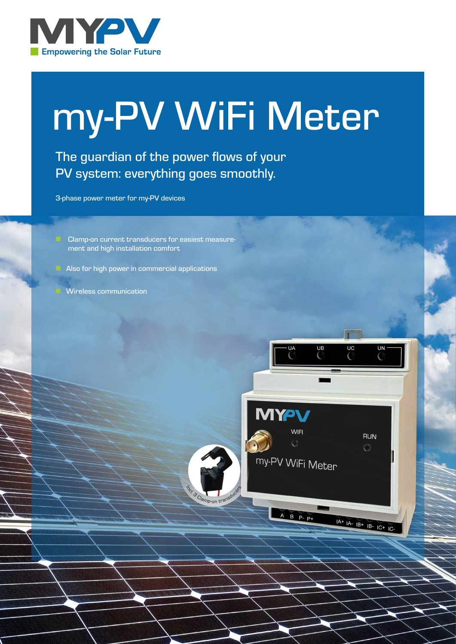

# my-PV WiFi Meter

The guardian of the power flows of your PV system: everything goes smoothly.

 $\frac{1}{2}$ 

.<br>3 Clamp-on transducers

 $\overline{UB}$ 

**MYPV** 

**WIFI** 

my-PV WiFi Meter

A B P P+

 $\overline{UC}$ 

**UN** 

**RUN**  $\bigcirc$ 

 $IA+IA-IB+IB-IC+IC-$ 

3-phase power meter for my-PV devices

- Clamp-on current transducers for easiest measurement and high installation comfort
- Also for high power in commercial applications
- Wireless communication